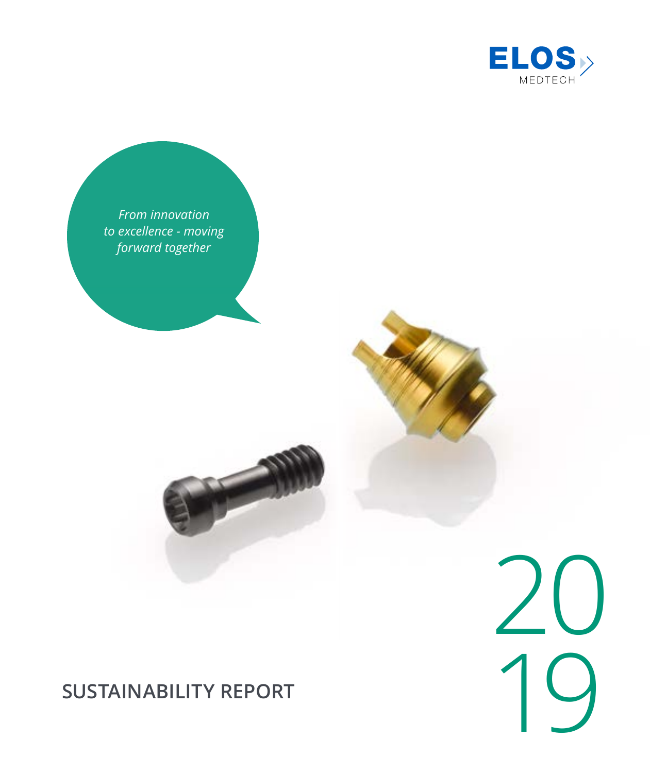

*From innovation to excellence - moving forward together*



20 **19**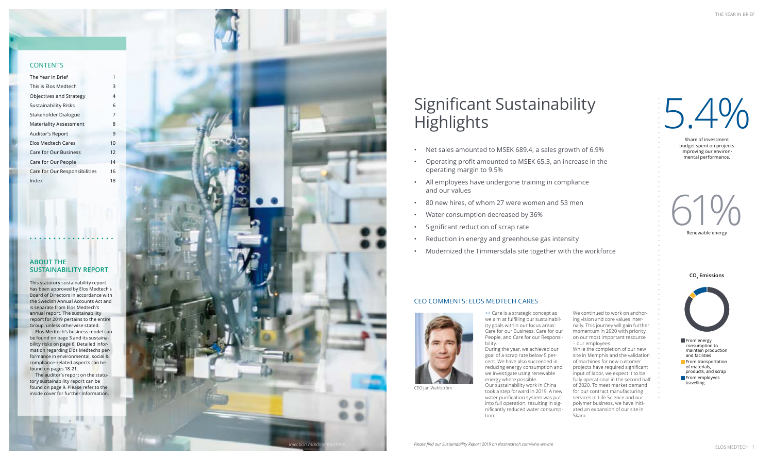### **CONTENTS**

| The Year in Brief             | 1  |
|-------------------------------|----|
| This is Elos Medtech          | 3  |
| Objectives and Strategy       | 4  |
| <b>Sustainability Risks</b>   | 6  |
| Stakeholder Dialogue          | 7  |
| <b>Materiality Assessment</b> | 8  |
| Auditor's Report              | 9  |
| Elos Medtech Cares            | 10 |
| <b>Care for Our Business</b>  | 12 |
| Care for Our People           | 14 |
| Care for Our Responsibilities | 16 |
| Index                         | 18 |

### **ABOUT THE SUSTAINABILITY REPORT**

This statutory sustainability report has been approved by Elos Medtech's Board of Directors in accordance with the Swedish Annual Accounts Act and is separate from Elos Medtech's annual report. The sustainability report for 2019 pertains to the entire Group, unless otherwise stated.

The auditor's report on the statutory sustainability report can be found on page 9. Please refer to the inside cover for further information.

# Renewable energy 61%

# Significant Sustainability **Highlights**



Elos Medtech's business model can be found on page 3 and its sustaina bility risks on page 6. Detailed infor mation regarding Elos Medtechs per formance in environmental, social & compliance-related aspects can be found on pages 18-21.

From energy consumption to maintain production and facilities From transportation of materials, products, and scrap From employees travelling

- Net sales amounted to MSEK 689.4, a sales growth of 6.9%
- Operating profit amounted to MSEK 65.3, an increase in the operating margin to 9.5%
- All employees have undergone training in compliance and our values
- 80 new hires, of whom 27 were women and 53 men
- Water consumption decreased by 36% Significant reduction of scrap rate
- 
- Reduction in energy and greenhouse gas intensity
- Modernized the Timmersdala site together with the workforce

Share of investment budget spent on projects improving our environ mental performance.

# 5.4%

### CEO COMMENTS: ELOS MEDTECH CARES



>> Care is a strategic concept as we aim at fulfilling our sustainabil ity goals within our focus areas: Care for our Business, Care for our People, and Care for our Responsibility.

During the year, we achieved our goal of a scrap rate below 5 per cent. We have also succeeded in reducing energy consumption and we investigate using renewable energy where possible. Our sustainability work in China took a step forward in 2019. A new water purification system was put into full operation, resulting in sig nificantly reduced water consumption.

We continued to work on anchor -

**CO 2 Emissions** CO2 Emissions



ing vision and core values inter nally. This journey will gain further momentum in 2020 with priority on our most important resource – our employees. While the completion of our new site in Memphis and the validation of machines for new customer projects have required significant input of labor, we expect it to be fully operational in the second half of 2020. To meet market demand for our contract manufacturing services in Life Science and our polymer business, we have initi ated an expansion of our site in Skara.

CEO Jan Wahlström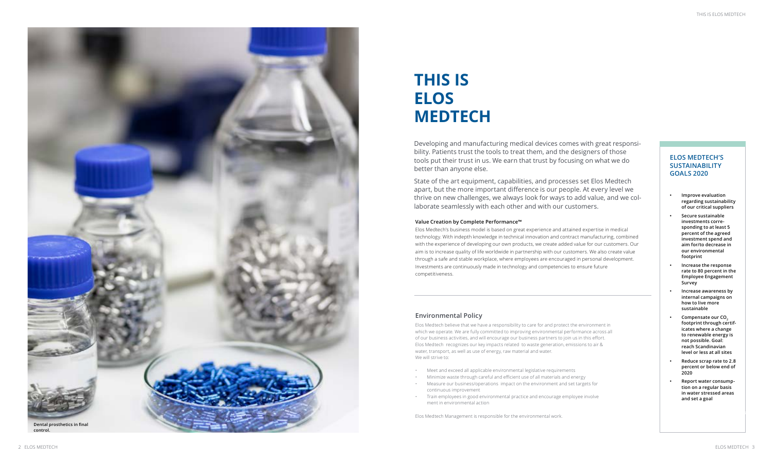# **THIS IS ELOS MEDTECH**

Developing and manufacturing medical devices comes with great responsi bility. Patients trust the tools to treat them, and the designers of those tools put their trust in us. We earn that trust by focusing on what we do better than anyone else.

State of the art equipment, capabilities, and processes set Elos Medtech apart, but the more important difference is our people. At every level we thrive on new challenges, we always look for ways to add value, and we col laborate seamlessly with each other and with our customers.

### **Value Creation by Complete Performance™**

Elos Medtech's business model is based on great experience and attained expertise in medical technology. With indepth knowledge in technical innovation and contract manufacturing, combined with the experience of developing our own products, we create added value for our customers. Our aim is to increase quality of life worldwide in partnership with our customers. We also create value through a safe and stable workplace, where employees are encouraged in personal development. Investments are continuously made in technology and competencies to ensure future competitiveness.

Elos Medtech believe that we have a responsibility to care for and protect the environment in which we operate. We are fully committed to improving environmental performance across all of our business activities, and will encourage our business partners to join us in this effort. Elos Medtech recognizes our key impacts related to waste generation, emissions to air & water, transport, as well as use of energy, raw material and water. We will strive to:

### **ELOS MEDTECH'S SUSTAINABILITY GOALS 2020**

- **• Improve evaluation regarding sustainability of our critical suppliers**
- **• Secure sustainable investments corre sponding to at least 5 percent of the agreed investment spend and aim for/to decrease in our environmental footprint**
- **• Increase the response rate to 80 percent in the Employee Engagement Survey**
- **• Increase awareness by internal campaigns on how to live more sustainable**
- **• Compensate our CO 2 footprint through certif icates where a change to renewable energy is not possible. Goal: reach Scandinavian level or less at all sites**
- **• Reduce scrap rate to 2.8 percent or below end of 2020**
- **• Report water consump tion on a regular basis in water stressed areas and set a goal**

**of total investments were related to sustainability** 



### **Environmental Policy**

- Meet and exceed all applicable environmental legislative requirements
- Minimize waste through careful and efficient use of all materials and energy • Measure our business/operations impact on the environment and set targets for
- continuous improvement
- Train employees in good environmental practice and encourage employee involve ment in environmental action

Elos Medtech Management is responsible for the environmental work.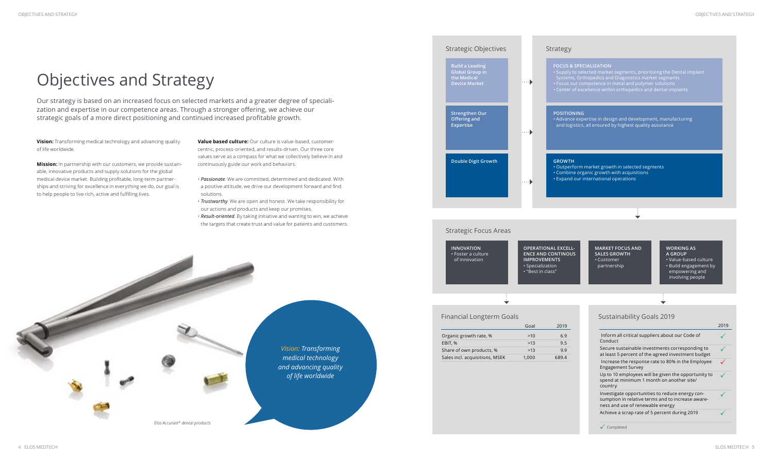- 
- Value-based culture • Build engagement by
- 
- empowering and
- involving people

### Financial Longterm Goals **Sustainability Goals 2019**



**INNOVATION** • Foster a culture of innovation **OPERATIONAL EXCELL-ENCE AND CONTINOUS IMPROVEMENTS** • Specialization • "Best in class"

**SALES GROWTH** • Customer partnership

**A GROUP**

**Vision:** Transforming medical technology and advancing quality of life worldwide.

### Strategic Focus Areas

|                                | Goal  | 2019  |
|--------------------------------|-------|-------|
| Organic growth rate, %         | >10   | 69    |
| EBIT, %                        | >13   | 9.5   |
| Share of own products, %       | >13   | 99    |
| Sales incl. acquisitions, MSEK | 1,000 | 689.4 |

|                                                                                                                                          | 2019 |
|------------------------------------------------------------------------------------------------------------------------------------------|------|
| Inform all critical suppliers about our Code of<br>Conduct                                                                               |      |
| Secure sustainable investments corresponding to<br>at least 5 percent of the agreed investment budget                                    |      |
| Increase the response rate to 80% in the Employee<br><b>Engagement Survey</b>                                                            |      |
| Up to 10 employees will be given the opportunity to<br>spend at minimum 1 month on another site/<br>country                              |      |
| Investigate opportunities to reduce energy con-<br>sumption in relative terms and to increase aware-<br>ness and use of renewable energy |      |
| Achieve a scrap rate of 5 percent during 2019                                                                                            |      |
| Completed                                                                                                                                |      |

# Objectives and Strategy

**Mission:** In partnership with our customers, we provide sustainable, innovative products and supply solutions for the global medical device market. Building profitable, long-term partnerships and striving for excellence in everything we do, our goal is to help people to live rich, active and fulfilling lives.

Our strategy is based on an increased focus on selected markets and a greater degree of specialization and expertise in our competence areas. Through a stronger offering, we achieve our strategic goals of a more direct positioning and continued increased profitable growth.

> **Value based culture:** Our culture is value-based, customercentric, process-oriented, and results-driven. Our three core values serve as a compass for what we collectively believe in and continuously guide our work and behaviors.

- *Passionate*. We are committed, determined and dedicated. With a positive attitude, we drive our development forward and find solutions.
- *Trustworthy*. We are open and honest. We take responsibility for our actions and products and keep our promises.
- *Result-oriented*. By taking initiative and wanting to win, we achieve the targets that create trust and value for patients and customers.



### Strategic Objectives Strategy **Build a Leading FOCUS & SPECIALIZATION Global Group in the Medical**   $\ldots$  . **POSITIONING Strengthen Our Offering and Expertise**  $\ldots$  . **Double Digit Growth GROWTH**  $\ldots$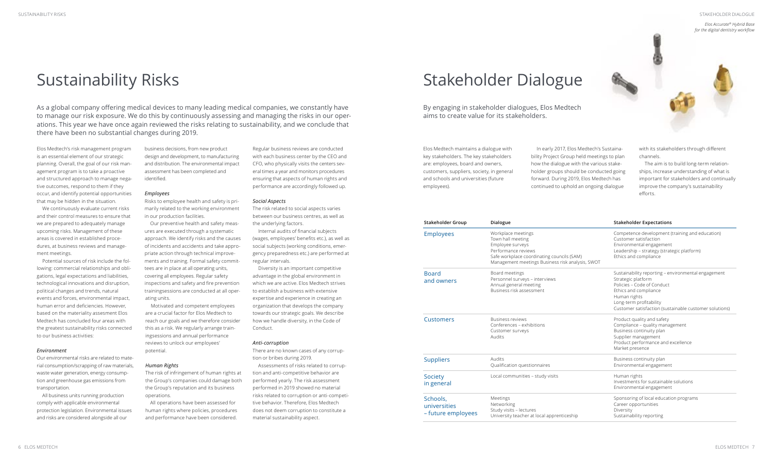# Stakeholder Dialogue

Elos Medtech maintains a dialogue with key stakeholders. The key stakeholders are: employees, board and owners, customers, suppliers, society, in general and schools and universities (future employees).

In early 2017, Elos Medtech's Sustainability Project Group held meetings to plan how the dialogue with the various stakeholder groups should be conducted going forward. During 2019, Elos Medtech has continued to uphold an ongoing dialogue

with its stakeholders through different channels.

The aim is to build long-term relationships, increase understanding of what is important for stakeholders and continually improve the company's sustainability efforts.

|                                                                                                                                                                                      | <b>Stakeholder Expectations</b>                                                                                                                                                                                                       |
|--------------------------------------------------------------------------------------------------------------------------------------------------------------------------------------|---------------------------------------------------------------------------------------------------------------------------------------------------------------------------------------------------------------------------------------|
| Workplace meetings<br>Town hall meeting<br>Employee surveys<br>Performance reviews<br>Safe workplace coordinating councils (SAM)<br>Management meetings Business risk analysis, SWOT | Competence development (training and education)<br>Customer satisfaction<br>Environmental engagement<br>Leadership - strategy (strategic platform)<br>Ethics and compliance                                                           |
| Board meetings<br>Personnel surveys - interviews<br>Annual general meeting<br>Business risk assessment                                                                               | Sustainability reporting - environmental engagement<br>Strategic platform<br>Policies - Code of Conduct<br>Ethics and compliance<br>Human rights<br>Long-term profitability<br>Customer satisfaction (sustainable customer solutions) |
| <b>Business reviews</b><br>Conferences - exhibitions<br>Customer surveys<br>Audits                                                                                                   | Product quality and safety<br>Compliance - quality management<br>Business continuity plan<br>Supplier management<br>Product performance and excellence<br>Market presence                                                             |
| Audits<br>Qualification questionnaires                                                                                                                                               | Business continuity plan<br>Environmental engagement                                                                                                                                                                                  |
| Local communities - study visits                                                                                                                                                     | Human rights<br>Investments for sustainable solutions<br>Environmental engagement                                                                                                                                                     |
| Meetings<br>Networking<br>Study visits - lectures<br>University teacher at local apprenticeship                                                                                      | Sponsoring of local education programs<br>Career opportunities<br>Diversity<br>Sustainability reporting                                                                                                                               |
|                                                                                                                                                                                      |                                                                                                                                                                                                                                       |

By engaging in stakeholder dialogues, Elos Medtech aims to create value for its stakeholders.

*Elos Accurate® Hybrid Base for the digital dentistry workflow*



# Sustainability Risks

As a global company offering medical devices to many leading medical companies, we constantly have to manage our risk exposure. We do this by continuously assessing and managing the risks in our operations. This year we have once again reviewed the risks relating to sustainability, and we conclude that there have been no substantial changes during 2019.

Elos Medtech's risk management program is an essential element of our strategic planning. Overall, the goal of our risk management program is to take a proactive and structured approach to manage negative outcomes, respond to them if they occur, and identify potential opportunities that may be hidden in the situation.

We continuously evaluate current risks and their control measures to ensure that we are prepared to adequately manage upcoming risks. Management of these areas is covered in established procedures, at business reviews and management meetings.

Potential sources of risk include the following: commercial relationships and obligations, legal expectations and liabilities, technological innovations and disruption, political changes and trends, natural events and forces, environmental impact, human error and deficiencies. However, based on the materiality assesment Elos Medtech has concluded four areas with the greatest sustainability risks connected to our business activities:

### *Environment*

Our environmental risks are related to material consumption/scrapping of raw materials, waste water generation, energy consumption and greenhouse gas emissions from transportation.

All business units running production comply with applicable environmental protection legislation. Environmental issues and risks are considered alongside all our

business decisions, from new product design and development, to manufacturing and distribution. The environmental impact assessment has been completed and identified.

### *Employees*

Risks to employee health and safety is primarily related to the working environment in our production facilities.

Our preventive health and safety measures are executed through a systematic approach. We identify risks and the causes of incidents and accidents and take appropriate action through technical improvements and training. Formal safety committees are in place at all operating units, covering all employees. Regular safety inspections and safety and fire prevention trainingsessions are conducted at all operating units.

Motivated and competent employees are a crucial factor for Elos Medtech to reach our goals and we therefore consider this as a risk. We regularly arrange trainingsessions and annual performance reviews to unlock our employees' potential.

### *Human Rights*

The risk of infringement of human rights at the Group's companies could damage both the Group's reputation and its business operations.

All operations have been assessed for human rights where policies, procedures and performance have been considered.

Regular business reviews are conducted with each business center by the CEO and CFO, who physically visits the centers several times a year and monitors procedures ensuring that aspects of human rights and performance are accordingly followed up.

### *Social Aspects*

The risk related to social aspects varies between our business centres, as well as the underlying factors.

 Internal audits of financial subjects (wages, employees' benefits etc.), as well as social subjects (working conditions, emergency preparedness etc.) are performed at regular intervals.

Diversity is an important competitive advantage in the global environment in which we are active. Elos Medtech strives to establish a business with extensive expertise and experience in creating an organization that develops the company towards our strategic goals. We describe how we handle diversity, in the Code of Conduct.

### *Anti-corruption*

There are no known cases of any corruption or bribes during 2019.

Assessments of risks related to corruption and anti-competitive behavior are performed yearly. The risk assessment performed in 2019 showed no material risks related to corruption or anti-competitive behavior. Therefore, Elos Medtech does not deem corruption to constitute a material sustainability aspect.

### SUSTAINABILITY RISKS STAKEHOLDER DIALOGUE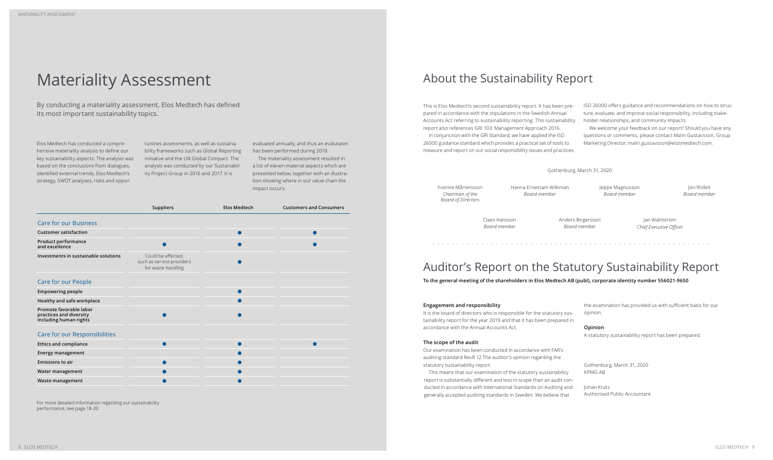# About the Sustainability Report

This is Elos Medtech's second sustainability report. It has been prepared in accordance with the stipulations in the Swedish Annual Accounts Act referring to sustainability reporting. This sustainability report also references GRI 103: Management Approach 2016. ISO 26000 offers guidance and recommendations on how to structure, evaluate, and improve social responsibility, including stakeholder relationships, and community impacts. We welcome your feedback on our report! Should you have any

In conjunction with the GRI Standard, we have applied the ISO 26000 guidance standard which provides a practical set of tools to measure and report on our social responsibility issues and practices.

questions or comments, please contact Malin Gustavsson, Group Marketing Director, malin.gustavsson@elosmedtech.com.

### **Engagement and responsibility**

It is the board of directors who is responsible for the statutory sustainability report for the year 2019 and that it has been prepared in accordance with the Annual Accounts Act.

### **The scope of the audit**

Our examination has been conducted in accordance with FAR's auditing standard RevR 12 The auditor's opinion regarding the statutory sustainability report.

This means that our examination of the statutory sustainability report is substantially different and less in scope than an audit conducted in accordance with International Standards on Auditing and generally accepted auditing standards in Sweden. We believe that

the examination has provided us with sufficient basis for our opinion.

### **Opinion**

A statutory sustainability report has been prepared.

Gothenburg, March 31, 2020 KPMG AB

Johan Kratz Authorised Public Accountant

# Auditor's Report on the Statutory Sustainability Report

**To the general meeting of the shareholders in Elos Medtech AB (publ), corporate identity number 556021-9650**

Gothenburg, March 31, 2020

Yvonne Mårtensson *Chairman of the Board of Directors*

Hanna Ernestam Wilkman *Board member*

Jeppe Magnusson *Board member*

Jon Risfelt *Board member*

Claes Hansson *Board member* Anders Birgersson *Board member*

Jan Wahlström *Chief Executive Officer*

# Materiality Assessment

Elos Medtech has conducted a comprehensive materiality analysis to define our key sustainability aspects. The analysis was based on the conclusions from dialogues, identified external trends, Elos Medtech's strategy, SWOT analyses, risks and oppor-

tunities assessments, as well as sustainability frameworks such as Global Reporting Initiative and the UN Global Compact. The analysis was conducted by our Sustainability Project Group in 2016 and 2017. It is

evaluated annually, and thus an evalutaion has been performed during 2019. The materiality assessment resulted in

a list of eleven material aspects which are presented below, together with an illustration showing where in our value chain the impact occurs.

|                                                                              | <b>Suppliers</b>                                                      | <b>Elos Medtech</b> | <b>Customers and Consumers</b> |
|------------------------------------------------------------------------------|-----------------------------------------------------------------------|---------------------|--------------------------------|
| <b>Care for our Business</b>                                                 |                                                                       |                     |                                |
| <b>Customer satisfaction</b>                                                 |                                                                       |                     |                                |
| Product performance<br>and excellence                                        |                                                                       |                     |                                |
| Investments in sustainable solutions                                         | Could be affected,<br>such as service providers<br>for waste handling |                     |                                |
| Care for our People                                                          |                                                                       |                     |                                |
| <b>Empowering people</b>                                                     |                                                                       |                     |                                |
| Healthy and safe workplace                                                   |                                                                       |                     |                                |
| Promote favorable labor<br>practices and diversity<br>including human rights |                                                                       |                     |                                |
| Care for our Responsibilities                                                |                                                                       |                     |                                |
| <b>Ethics and compliance</b>                                                 |                                                                       |                     |                                |
| <b>Energy management</b>                                                     |                                                                       |                     |                                |
| <b>Emissions to air</b>                                                      |                                                                       |                     |                                |
| Water management                                                             |                                                                       |                     |                                |
| Waste management                                                             |                                                                       |                     |                                |

By conducting a materiality assessment, Elos Medtech has defined its most important sustainability topics.

For more detailed information regarding our sustainability performance, see page 18-20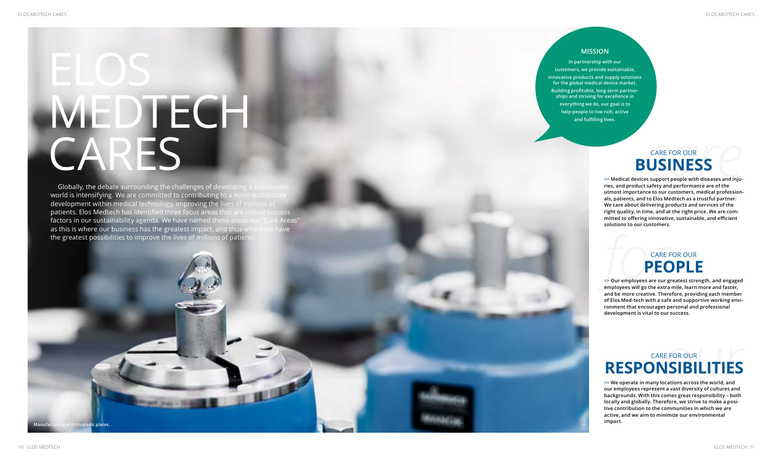CARE<br> *for the Sour employees are our genulovees will go the extra definition >>* **Our employees are our greatest strength, and engaged employees will go the extra mile, learn more and faster, and be more creative. Therefore, providing each member of Elos Med -tech with a safe and supportive working envi ronment that encourages personal and professional development is vital to our success.**

*>>* **Medical devices support people with diseases and inju ries, and product safety and performance are of the utmost importance to our customers, medical profession als, patients, and to Elos Medtech as a trustful partner. We care about delivering products and services of the right quality, in time, and at the right price. We are com mitted to offering innovative, sustainable, and efficient solutions to our customers.**

# CARE FOR OUR<br> **USINESS**<br> **SALLS**<br> **CARE FOR OUR**<br> **CARE FOR OUR**<br> **CARE FOR OURS**<br> **CARE SALLS** CARE FOR OUR **BUSINESS**

# E FOR OUR<br> **SIBILITIES**<br> **SIBILITIES** CARE FOR OUR **RESPONSIBILITIES**

# MEDTECH CARES 11 DS<br>
CARES<br>
22 ELOS MEDTECH<br>
22 ELOS MEDITECH<br>
22 ELOS MEDITECH CARES

Globally, the debate surrounding the challenges of developing a sustainable world is intensifying. We are committed to contributing to a more sustainable development within medical technology, improving the lives of millions of patients. Elos Medtech has identified three focus areas that are critical success factors in our sustainability agenda. We have named these areas our "Care Areas" as this is where our business has the greatest impact, and thus where we have the greatest possibilities to improve the lives of millions of patient

*>>* **We operate in many locations across the world, and our employees represent a vast diversity of cultures and backgrounds. With this comes great responsibility – both locally and globally. Therefore, we strive to make a posi tive contribution to the communities in which we are active, and we aim to minimize our environmental impact.**

## CARE FOR OUR **PEOPLE**

### **MISSION**

**for the global medical device market.**

- **In partnership with our customers, we provide sustainable, innovative products and supply solutions**
- **Building profitable, long-term partner ships and striving for excellence in**
- **everything we do, our goal is to help people to live rich, active and fulfilling lives.**

**Manufacturing of orthopedic plates.**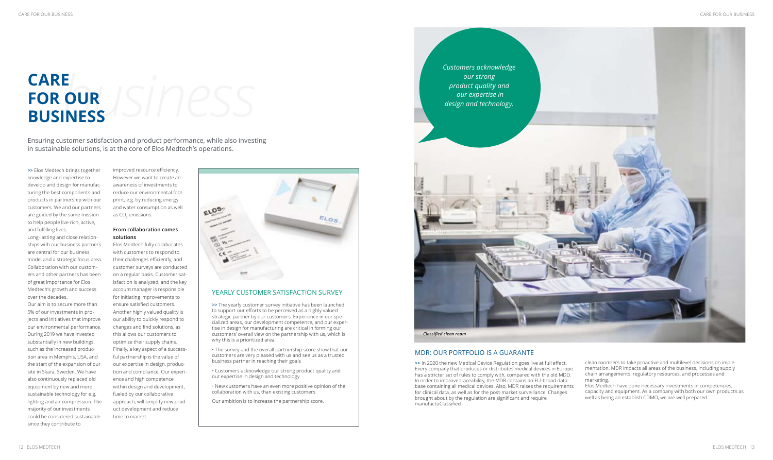Ensuring customer satisfaction and product performance, while also investing in sustainable solutions, is at the core of Elos Medtech's operations.

*>>* Elos Medtech brings together knowledge and expertise to develop and design for manufacturing the best components and products in partnership with our customers. We and our partners are guided by the same mission: to help people live rich, active, and fulfilling lives.

Long-lasting and close relationships with our business partners are central for our business model and a strategic focus area. Collaboration with our customers and other partners has been of great importance for Elos Medtech's growth and success over the decades.

improved resource efficiency. However we want to create an awareness of investments to reduce our environmental footprint, e.g. by reducing energy and water consumption as well as CO<sub>2</sub> emissions.

Our aim is to secure more than 5% of our investments in projects and initiatives that improve our environmental performance. During 2019 we have invested substantially in new buildings, such as the increased production area in Memphis, USA, and the start of the expansion of our site in Skara, Sweden. We have also continuously replaced old equipment by new and more sustainable technology for e.g. lighting and air compression. The majority of our investments could be considered sustainable since they contribute to

# *business* **CARE FOR OUR BUSINESS**

### **From collaboration comes solutions**

Elos Medtech fully collaborates with customers to respond to their challenges efficiently, and customer surveys are conducted on a regular basis. Customer satisfaction is analyzed, and the key account manager is responsible for initiating improvements to ensure satisfied customers. Another highly valued quality is our ability to quickly respond to changes and find solutions, as this allows our customers to optimize their supply chains. Finally, a key aspect of a successful partnership is the value of our expertise in design, production and compliance. Our experience and high competence within design and development, fueled by our collaborative approach, will simplify new product development and reduce time to market.



*our strong product quality and our expertise in* 

### MDR: OUR PORTFOLIO IS A GUARANTE

*>>* In 2020 the new Medical Device Regulation goes live at full effect. Every company that produces or distributes medical devices in Europe has a stricter set of rules to comply with, compared with the old MDD. In order to improve traceability, the MDR contains an EU-broad database containing all medical devices. Also, MDR raises the requirements for clinical data, as well as for the post-market surveillance. Changes brought about by the regulation are significant and require manufactuClassified



*>>* The yearly customer survey initiative has been launched to support our efforts to be perceived as a highly valued strategic partner by our customers. Experience in our specialized areas, our development competence, and our expertise in design for manufacturing are critical in forming our customers' overall view on the partnership with us, which is why this is a prioritized area.

• The survey and the overall partnership score show that our customers are very pleased with us and see us as a trusted business partner in reaching their goals

• Customers acknowledge our strong product quality and our expertise in design and technology

• New customers have an even more positive opinion of the collaboration with us, than existing customers

Our ambition is to increase the partnership score.

### YEARLY CUSTOMER SATISFACTION SURVEY

clean roomrers to take proactive and multilevel decisions on implementation. MDR impacts all areas of the business, including supply chain arrangements, regulatory resources, and processes and marketing.

Elos Medtech have done necessary investments in competencies, capacity and equipment. As a company with both our own products as well as being an establish CDMO, we are well prepared.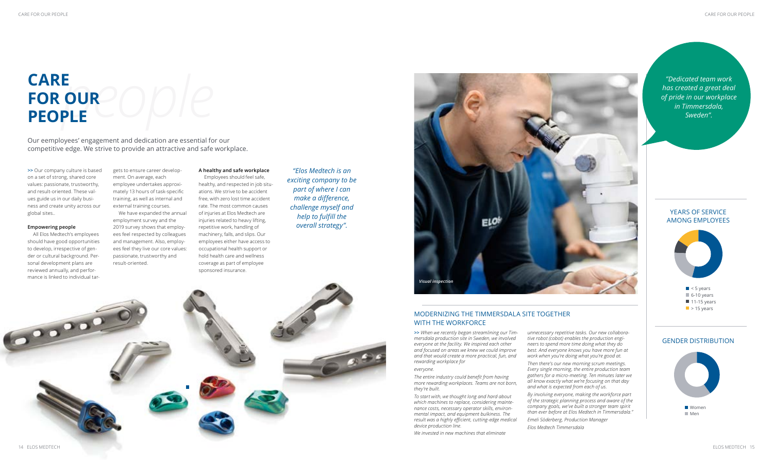Our eemployees' engagement and dedication are essential for our competitive edge. We strive to provide an attractive and safe workplace.

**>>** Our company culture is based on a set of strong, shared core values: passionate, trustworthy, and result-oriented. These values guide us in our daily business and create unity across our global sites..

### **Empowering people**

All Elos Medtech's employees should have good opportunities to develop, irrespective of gender or cultural background. Personal development plans are reviewed annually, and performance is linked to individual tar-

# E<br>PLE<sup>O</sup>OO **CARE FOR OUR PEOPLE**

gets to ensure career development. On average, each employee undertakes approximately 13 hours of task-specific training, as well as internal and external training courses.

We have expanded the annual employment survey and the 2019 survey shows that employees feel respected by colleagues and management. Also, employees feel they live our core values: passionate, trustworthy and result-oriented.



 $\blacksquare$  6-10 years  $11-15$  years  $\blacktriangleright$  15 years



### YEARS OF SERVICE AMONG EMPLOYEES

### GENDER DISTRIBUTION

*>> When we recently began streamlining our Timmersdala production site in Sweden, we involved everyone at the facility. We inspired each other and focused on areas we knew we could improve and that would create a more practical, fun, and rewarding workplace for*

### *everyone.*

*The entire industry could benefit from having more rewarding workplaces. Teams are not born, they're built.*

*To start with, we thought long and hard about which machines to replace, considering maintenance costs, necessary operator skills, environmental impact, and equipment bulkiness. The result was a highly efficient, cutting-edge medical device production line.*

*We invested in new machines that eliminate* 

*unnecessary repetitive tasks. Our new collaborative robot (cobot) enables the production engineers to spend more time doing what they do best. And everyone knows you have more fun at work when you're doing what you're good at.*

*Then there's our new morning scrum meetings. Every single morning, the entire production team gathers for a micro-meeting. Ten minutes later we all know exactly what we're focusing on that day and what is expected from each of us.*

*By involving everyone, making the workforce part of the strategic planning process and aware of the company goals, we've built a stronger team spirit than ever before at Elos Medtech in Timmersdala."*

*Emeli Söderberg, Production Manager Elos Medtech Timmersdala*







*"Elos Medtech is an exciting company to be part of where I can make a difference, challenge myself and help to fulfill the overall strategy".*

### **A healthy and safe workplace**

Employees should feel safe, healthy, and respected in job situations. We strive to be accident free, with zero lost time accident rate. The most common causes of injuries at Elos Medtech are injuries related to heavy lifting, repetitive work, handling of machinery, falls, and slips. Our employees either have access to occupational health support or hold health care and wellness coverage as part of employee sponsored insurance.

*"Dedicated team work has created a great deal of pride in our workplace in Timmersdala, Sweden".*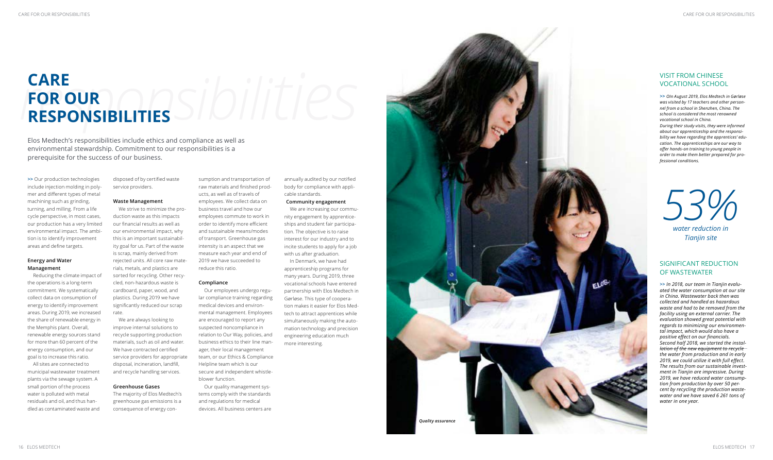Elos Medtech's responsibilities include ethics and compliance as well as environmental stewardship. Commitment to our responsibilities is a prerequisite for the success of our business.

**>>** Our production technologies include injection molding in poly mer and different types of metal machining such as grinding, turning, and milling. From a life cycle perspective, in most cases, our production has a very limited environmental impact. The ambi tion is to identify improvement areas and define targets.

### **Energy and Water Management**

Reducing the climate impact of the operations is a long-term commitment. We systematically collect data on consumption of energy to identify improvement areas. During 2019, we increased the share of renewable energy in the Memphis plant. Overall, renewable energy sources stand for more than 60 percent of the energy consumption, and our goal is to increase this ratio.

# *responsibilities* **CARE FOR OUR RESPONSIBILITIES**

All sites are connected to municipal wastewater treatment plants via the sewage system. A small portion of the process water is polluted with metal residuals and oil, and thus han dled as contaminated waste and

disposed of by certified waste service providers.

### **Waste Management**

We strive to minimize the pro duction waste as this impacts our financial results as well as our environmental impact, why this is an important sustainabil ity goal for us. Part of the waste is scrap, mainly derived from rejected units. All core raw mate rials, metals, and plastics are sorted for recycling. Other recy cled, non-hazardous waste is cardboard, paper, wood, and plastics. During 2019 we have significantly reduced our scrap rate.

We are always looking to improve internal solutions to recycle supporting production materials, such as oil and water. We have contracted certified service providers for appropriate disposal, incineration, landfill, and recycle handling services.

### **Greenhouse Gases**

The majority of Elos Medtech's greenhouse gas emissions is a consequence of energy con-

sumption and transportation of raw materials and finished prod ucts, as well as of travels of employees. We collect data on business travel and how our employees commute to work in order to identify more efficient and sustainable means/modes of transport. Greenhouse gas intensity is an aspect that we measure each year and end of 2019 we have succeeded to reduce this ratio.

### **Compliance**

Our employees undergo regu lar compliance training regarding medical devices and environ mental management. Employees are encouraged to report any suspected noncompliance in relation to Our Way, policies, and business ethics to their line man ager, their local management team, or our Ethics & Compliance Helpline team which is our secure and independent whistle blower function.

Our quality management sys tems comply with the standards and regulations for medical devices. All business centers are *>> OIn August 2019, Elos Medtech in Gørløse was visited by 17 teachers and other person nel from a school in Shenzhen, China. The school is considered the most renowned vocational school in China. During their study visits, they were informed about our apprenticeship and the responsi bility we have regarding the apprentices' edu cation. The apprenticeships are our way to offer hands-on training to young people in order to make them better prepared for pro fessional conditions.*

### VISIT FROM CHINESE VOCATIONAL SCHOOL

*53% water reduction in Tianjin site*

annually audited by our notified body for compliance with appli cable standards.

### **Community engagement**

We are increasing our commu nity engagement by apprentice ships and student fair participa tion. The objective is to raise interest for our industry and to incite students to apply for a job with us after graduation.

In Denmark, we have had apprenticeship programs for many years. During 2019, three vocational schools have entered partnership with Elos Medtech in Gørløse. This type of cooperation makes it easier for Elos Medtech to attract apprentices while simultaneously making the auto mation technology and precision engineering education much more interesting.

*>> In 2018, our team in Tianjin evalu ated the water consumption at our site in China. Wastewater back then was collected and handled as hazardous waste and had to be removed from the facility using an external carrier. The evaluation showed great potential with regards to minimizing our environmen tal impact, which would also have a positive effect on our financials. Second half 2018, we started the instal lation of the new equipment to recycle the water from production and in early 2019, we could utilize it with full effect. The results from our sustainable investment in Tianjin are impressive. During 2019, we have reduced water consump tion from production by over 50 percent by recycling the production waste water and we have saved 6 261 tons of water in one year.*

### SIGNIFICANT REDUCTION OF WASTEWATER

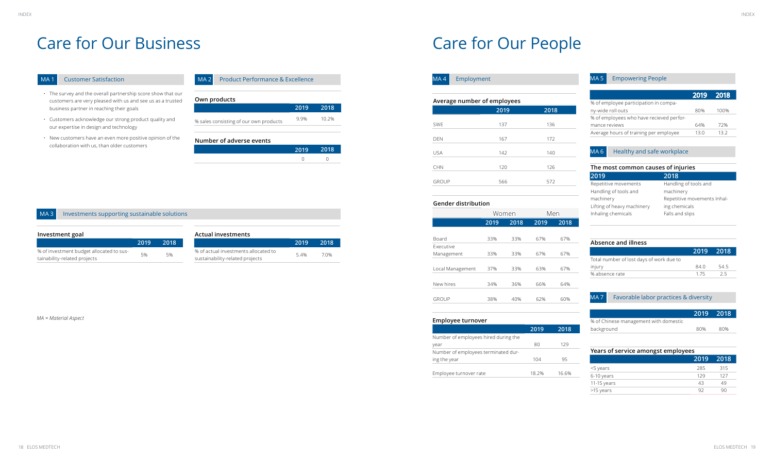### MA 1 Customer Satisfaction

- The survey and the overall partnership score show that our customers are very pleased with us and see us as a trusted business partner in reaching their goals
- Customers acknowledge our strong product quality and our expertise in design and technology
- New customers have an even more positive opinion of the collaboration with us, than older customers

# Care for Our Business

### MA 2 Product Performance & Excellence

| Own products                           |      |       |
|----------------------------------------|------|-------|
|                                        | 2019 | 2018  |
| % sales consisting of our own products | 9.9% | 10.2% |
|                                        |      |       |

### **Number of adverse events**

| œ | 1 2 |
|---|-----|
|   |     |

### **MA 3** Investments supporting sustainable solutions

### *MA = Material Aspect*

| Investment goal                          |      |      |
|------------------------------------------|------|------|
|                                          | 2019 | 2018 |
| % of investment budget allocated to sus- | 5%   | 5%   |
| tainability-related projects             |      |      |

### **Absence and illness 2019 2018** Total number of lost days of work due to injury 84.0 54.5 % absence rate 1.75 2.5

### MA 7 **Favorable labor practices & diversity**

| <b>Actual investments</b>            |      |      |
|--------------------------------------|------|------|
|                                      | 2019 | 2018 |
| % of actual investments allocated to | 54%  | 70%  |
| sustainability-related projects      |      |      |

|                                          | <b>2019</b> | 2018 |
|------------------------------------------|-------------|------|
| % of employee participation in compa-    |             |      |
| ny-wide roll outs                        | 80%         | 100% |
| % of employees who have recieved perfor- |             |      |
| mance reviews                            | 64%         | 72%  |
| Average hours of training per employee   | 13 O        | 132  |

### MA 6 Healthy and safe workplace

### **The most common causes of injuries**

| 2019                       | 2018                        |
|----------------------------|-----------------------------|
| Repetitive movements       | Handling of tools and       |
| Handling of tools and      | machinery                   |
| machinery                  | Repetitive movements Inhal- |
| Lifting of heavy machinery | ing chemicals               |
| Inhaling chemicals         | Falls and slips             |
|                            |                             |

|                                       | '2019 2018. |     |
|---------------------------------------|-------------|-----|
| % of Chinese management with domestic |             |     |
| background                            | 80%         | 80% |
|                                       |             |     |

| Years of service amongst employees |      |      |  |
|------------------------------------|------|------|--|
|                                    | 2019 | 2018 |  |
| <5 years                           | 285  | 315  |  |
| 6-10 years                         | 129  | 127  |  |
| 11-15 years                        | 43   | 49   |  |
| >15 years                          | 92   | 90   |  |

# Care for Our People

MA 4 Employment

| Average number of employees |      |      |  |
|-----------------------------|------|------|--|
|                             | 2019 | 2018 |  |
| <b>SWF</b>                  |      |      |  |
|                             | 137  | 136  |  |
| <b>DEN</b>                  | 167  | 172  |  |
| <b>USA</b>                  | 142  | 140  |  |
|                             |      |      |  |
| <b>CHN</b>                  | 120  | 126  |  |
|                             |      |      |  |
| <b>GROUP</b>                | 566  | 572  |  |

### **Gender distribution**

|                  | Women |      | Men  |      |
|------------------|-------|------|------|------|
|                  | 2019  | 2018 | 2019 | 2018 |
|                  |       |      |      |      |
| Board            | 33%   | 33%  | 67%  | 67%  |
| Executive        |       |      |      |      |
| Management       | 33%   | 33%  | 67%  | 67%  |
|                  |       |      |      |      |
| Local Management | 37%   | 33%  | 63%  | 67%  |
|                  |       |      |      |      |
| New hires        | 34%   | 36%  | 66%  | 64%  |
|                  |       |      |      |      |
| <b>GROUP</b>     | 38%   | 40%  | 62%  | 60%  |

### **Employee turnover**

|                                      | 2019  | 2018  |
|--------------------------------------|-------|-------|
| Number of employees hired during the |       |       |
| year                                 | 80    | 129   |
| Number of employees terminated dur-  |       |       |
| ing the year                         | 104   | 95    |
|                                      |       |       |
| Employee turnover rate               | 18.2% | 16.6% |

### MA 5 Empowering People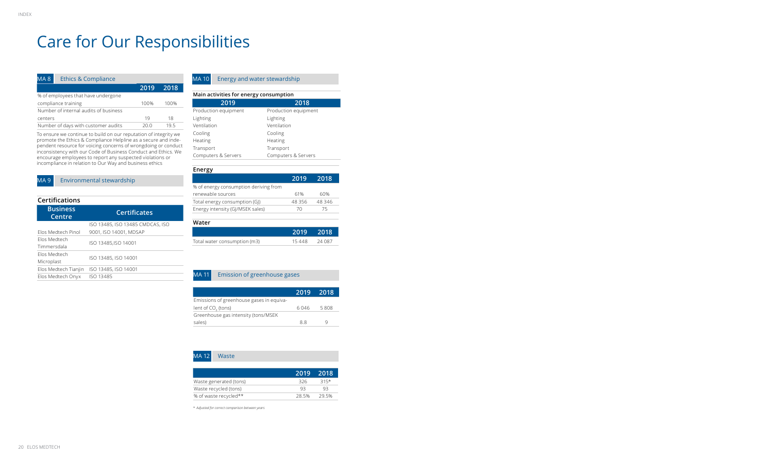**2019 2018** % of employees that have undergone compliance training 100% 100% Number of internal audits of business centers 19 18 Number of days with customer audits 20.0 19.5

To ensure we continue to build on our reputation of integrity we promote the Ethics & Compliance Helpline as a secure and independent resource for voicing concerns of wrongdoing or conduct inconsistency with our Code of Business Conduct and Ethics. We encourage employees to report any suspected violations or incompliance in relation to Our Way and business ethics

### MA 9 Environmental stewardship

### **Certifications**

| <b>Business</b><br>Centre   | <b>Certificates</b>                                        |
|-----------------------------|------------------------------------------------------------|
| Flos Medtech Pinol          | ISO 13485, ISO 13485 CMDCAS, ISO<br>9001, ISO 14001, MDSAP |
| Flos Medtech<br>Timmersdala | ISO 13485.ISO 14001                                        |
| Flos Medtech<br>Microplast  | ISO 13485, ISO 14001                                       |
| Elos Medtech Tianjin        | ISO 13485, ISO 14001                                       |
| Elos Medtech Onyx           | ISO 13485                                                  |

### MA 10 Energy and water stewardship

| Main activities for energy consumption |                      |  |  |
|----------------------------------------|----------------------|--|--|
| 2019                                   | 2018                 |  |  |
| Production equipment                   | Production equipment |  |  |
| Lighting                               | Lighting             |  |  |
| Ventilation                            | Ventilation          |  |  |
| Cooling                                | Cooling              |  |  |
| Heating                                | Heating              |  |  |
| Transport                              | Transport            |  |  |
| Computers & Servers                    | Computers & Servers  |  |  |

### **Energy**

| --                                    |        |        |
|---------------------------------------|--------|--------|
|                                       | 2019   | 2018   |
| % of energy consumption deriving from |        |        |
| renewable sources                     | 61%    | 60%    |
| Total energy consumption (GJ)         | 48.356 | 48.346 |
| Energy intensity (GJ/MSEK sales)      | 70     | 75     |
|                                       |        |        |

### **Water**

|                              | 2019 2018. |          |
|------------------------------|------------|----------|
| Total water consumption (m3) | 15 448     | - 24 087 |

### MA 11 Emission of greenhouse gases

| $2019 - 2018$ |      |
|---------------|------|
|               |      |
| 6 0 4 6       | 5808 |
|               |      |
| 88            |      |
|               |      |

| <b>MA12</b><br>Waste   |       |        |
|------------------------|-------|--------|
|                        |       |        |
|                        | 2019  | 2018   |
| Waste generated (tons) | 326   | $315*$ |
| Waste recycled (tons)  | 93    | 93     |
| % of waste recycled**  | 28.5% | 295%   |

*\* Adjusted for correct comparison between years*

# Care for Our Responsibilities

### MA 8 **Ethics & Compliance**